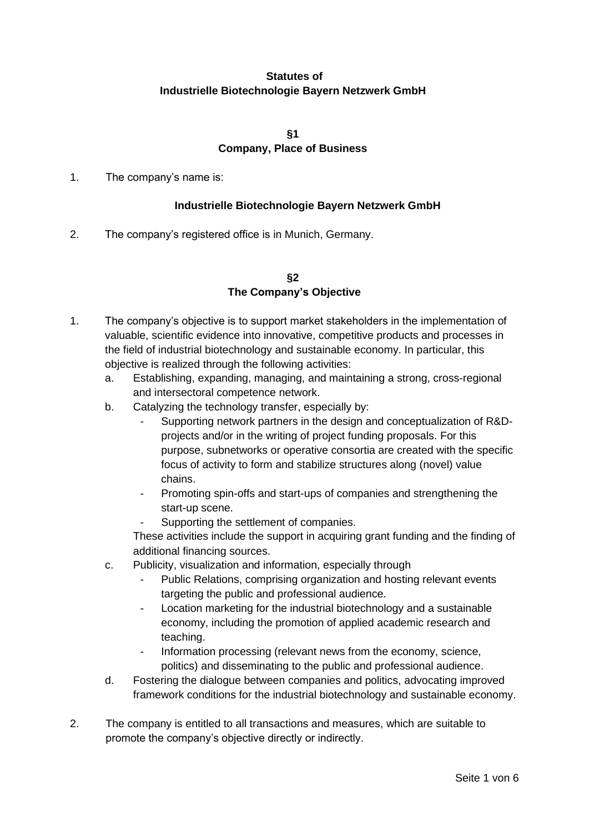# **Statutes of Industrielle Biotechnologie Bayern Netzwerk GmbH**

**§1**

# **Company, Place of Business**

1. The company's name is:

## **Industrielle Biotechnologie Bayern Netzwerk GmbH**

2. The company's registered office is in Munich, Germany.

### **§2 The Company's Objective**

- 1. The company's objective is to support market stakeholders in the implementation of valuable, scientific evidence into innovative, competitive products and processes in the field of industrial biotechnology and sustainable economy. In particular, this objective is realized through the following activities:
	- a. Establishing, expanding, managing, and maintaining a strong, cross-regional and intersectoral competence network.
	- b. Catalyzing the technology transfer, especially by:
		- Supporting network partners in the design and conceptualization of R&Dprojects and/or in the writing of project funding proposals. For this purpose, subnetworks or operative consortia are created with the specific focus of activity to form and stabilize structures along (novel) value chains.
		- Promoting spin-offs and start-ups of companies and strengthening the start-up scene.
		- Supporting the settlement of companies.

These activities include the support in acquiring grant funding and the finding of additional financing sources.

- c. Publicity, visualization and information, especially through
	- Public Relations, comprising organization and hosting relevant events targeting the public and professional audience.
	- Location marketing for the industrial biotechnology and a sustainable economy, including the promotion of applied academic research and teaching.
	- Information processing (relevant news from the economy, science, politics) and disseminating to the public and professional audience.
- d. Fostering the dialogue between companies and politics, advocating improved framework conditions for the industrial biotechnology and sustainable economy.
- 2. The company is entitled to all transactions and measures, which are suitable to promote the company's objective directly or indirectly.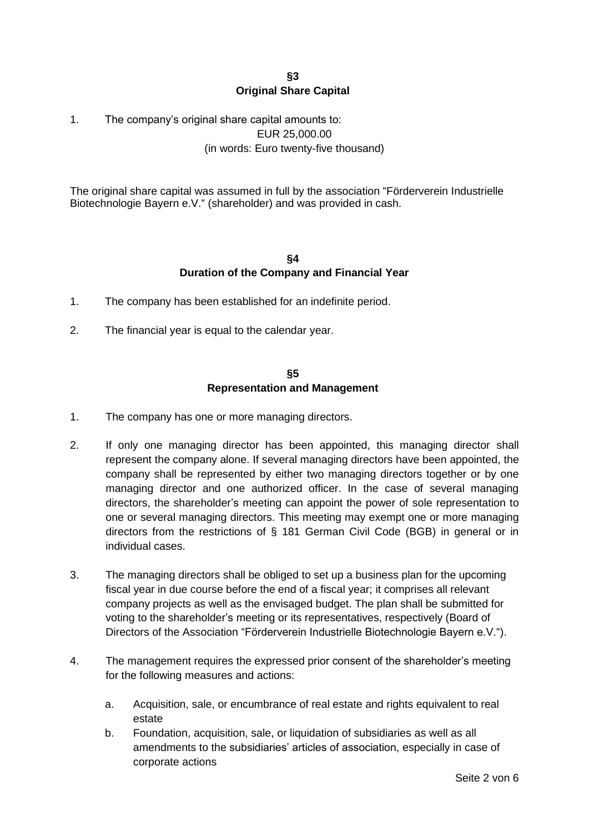### **§3 Original Share Capital**

# 1. The company's original share capital amounts to: EUR 25,000.00 (in words: Euro twenty-five thousand)

The original share capital was assumed in full by the association "Förderverein Industrielle Biotechnologie Bayern e.V." (shareholder) and was provided in cash.

### **§4 Duration of the Company and Financial Year**

- 1. The company has been established for an indefinite period.
- 2. The financial year is equal to the calendar year.

#### **§5 Representation and Management**

- 1. The company has one or more managing directors.
- 2. If only one managing director has been appointed, this managing director shall represent the company alone. If several managing directors have been appointed, the company shall be represented by either two managing directors together or by one managing director and one authorized officer. In the case of several managing directors, the shareholder's meeting can appoint the power of sole representation to one or several managing directors. This meeting may exempt one or more managing directors from the restrictions of § 181 German Civil Code (BGB) in general or in individual cases.
- 3. The managing directors shall be obliged to set up a business plan for the upcoming fiscal year in due course before the end of a fiscal year; it comprises all relevant company projects as well as the envisaged budget. The plan shall be submitted for voting to the shareholder's meeting or its representatives, respectively (Board of Directors of the Association "Förderverein Industrielle Biotechnologie Bayern e.V.").
- 4. The management requires the expressed prior consent of the shareholder's meeting for the following measures and actions:
	- a. Acquisition, sale, or encumbrance of real estate and rights equivalent to real estate
	- b. Foundation, acquisition, sale, or liquidation of subsidiaries as well as all amendments to the subsidiaries' articles of association, especially in case of corporate actions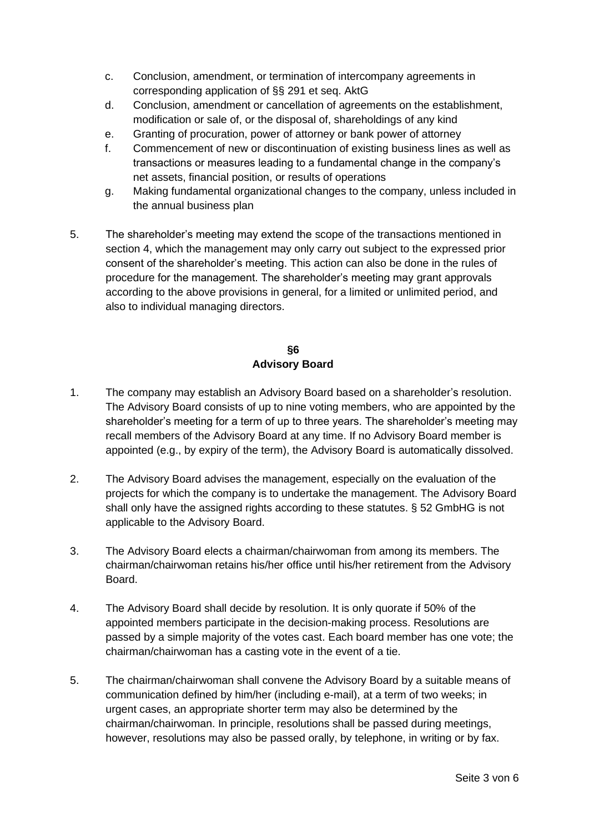- c. Conclusion, amendment, or termination of intercompany agreements in corresponding application of §§ 291 et seq. AktG
- d. Conclusion, amendment or cancellation of agreements on the establishment, modification or sale of, or the disposal of, shareholdings of any kind
- e. Granting of procuration, power of attorney or bank power of attorney
- f. Commencement of new or discontinuation of existing business lines as well as transactions or measures leading to a fundamental change in the company's net assets, financial position, or results of operations
- g. Making fundamental organizational changes to the company, unless included in the annual business plan
- 5. The shareholder's meeting may extend the scope of the transactions mentioned in section 4, which the management may only carry out subject to the expressed prior consent of the shareholder's meeting. This action can also be done in the rules of procedure for the management. The shareholder's meeting may grant approvals according to the above provisions in general, for a limited or unlimited period, and also to individual managing directors.

## **§6 Advisory Board**

- 1. The company may establish an Advisory Board based on a shareholder's resolution. The Advisory Board consists of up to nine voting members, who are appointed by the shareholder's meeting for a term of up to three years. The shareholder's meeting may recall members of the Advisory Board at any time. If no Advisory Board member is appointed (e.g., by expiry of the term), the Advisory Board is automatically dissolved.
- 2. The Advisory Board advises the management, especially on the evaluation of the projects for which the company is to undertake the management. The Advisory Board shall only have the assigned rights according to these statutes. § 52 GmbHG is not applicable to the Advisory Board.
- 3. The Advisory Board elects a chairman/chairwoman from among its members. The chairman/chairwoman retains his/her office until his/her retirement from the Advisory Board.
- 4. The Advisory Board shall decide by resolution. It is only quorate if 50% of the appointed members participate in the decision-making process. Resolutions are passed by a simple majority of the votes cast. Each board member has one vote; the chairman/chairwoman has a casting vote in the event of a tie.
- 5. The chairman/chairwoman shall convene the Advisory Board by a suitable means of communication defined by him/her (including e-mail), at a term of two weeks; in urgent cases, an appropriate shorter term may also be determined by the chairman/chairwoman. In principle, resolutions shall be passed during meetings, however, resolutions may also be passed orally, by telephone, in writing or by fax.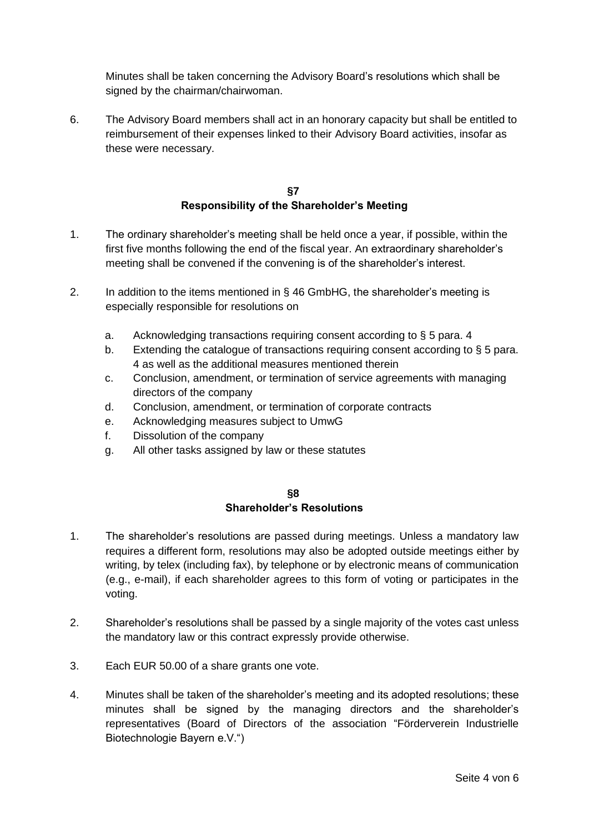Minutes shall be taken concerning the Advisory Board's resolutions which shall be signed by the chairman/chairwoman.

6. The Advisory Board members shall act in an honorary capacity but shall be entitled to reimbursement of their expenses linked to their Advisory Board activities, insofar as these were necessary.

## **§7 Responsibility of the Shareholder's Meeting**

- 1. The ordinary shareholder's meeting shall be held once a year, if possible, within the first five months following the end of the fiscal year. An extraordinary shareholder's meeting shall be convened if the convening is of the shareholder's interest.
- 2. In addition to the items mentioned in § 46 GmbHG, the shareholder's meeting is especially responsible for resolutions on
	- a. Acknowledging transactions requiring consent according to § 5 para. 4
	- b. Extending the catalogue of transactions requiring consent according to § 5 para. 4 as well as the additional measures mentioned therein
	- c. Conclusion, amendment, or termination of service agreements with managing directors of the company
	- d. Conclusion, amendment, or termination of corporate contracts
	- e. Acknowledging measures subject to UmwG
	- f. Dissolution of the company
	- g. All other tasks assigned by law or these statutes

#### **§8 Shareholder's Resolutions**

- 1. The shareholder's resolutions are passed during meetings. Unless a mandatory law requires a different form, resolutions may also be adopted outside meetings either by writing, by telex (including fax), by telephone or by electronic means of communication (e.g., e-mail), if each shareholder agrees to this form of voting or participates in the voting.
- 2. Shareholder's resolutions shall be passed by a single majority of the votes cast unless the mandatory law or this contract expressly provide otherwise.
- 3. Each EUR 50.00 of a share grants one vote.
- 4. Minutes shall be taken of the shareholder's meeting and its adopted resolutions; these minutes shall be signed by the managing directors and the shareholder's representatives (Board of Directors of the association "Förderverein Industrielle Biotechnologie Bayern e.V.")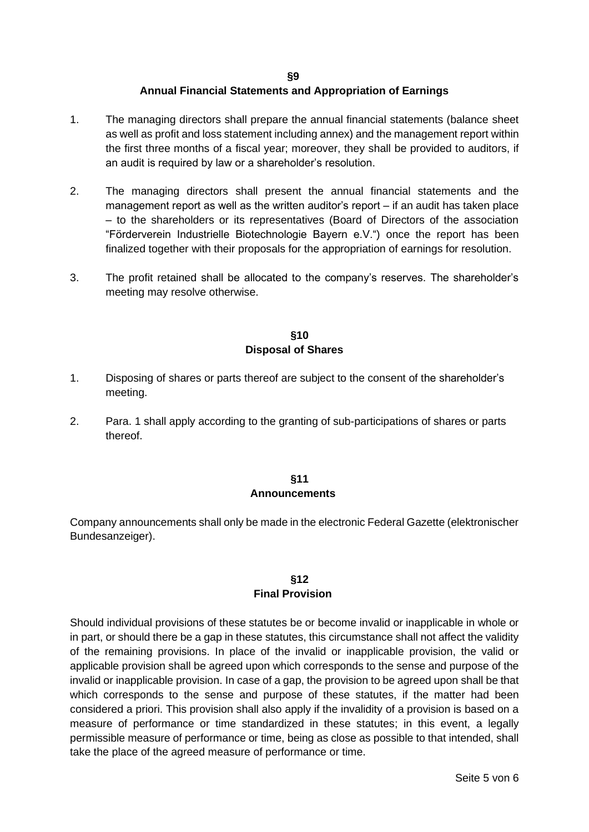#### **§9**

### **Annual Financial Statements and Appropriation of Earnings**

- 1. The managing directors shall prepare the annual financial statements (balance sheet as well as profit and loss statement including annex) and the management report within the first three months of a fiscal year; moreover, they shall be provided to auditors, if an audit is required by law or a shareholder's resolution.
- 2. The managing directors shall present the annual financial statements and the management report as well as the written auditor's report – if an audit has taken place – to the shareholders or its representatives (Board of Directors of the association "Förderverein Industrielle Biotechnologie Bayern e.V.") once the report has been finalized together with their proposals for the appropriation of earnings for resolution.
- 3. The profit retained shall be allocated to the company's reserves. The shareholder's meeting may resolve otherwise.

### **§10 Disposal of Shares**

- 1. Disposing of shares or parts thereof are subject to the consent of the shareholder's meeting.
- 2. Para. 1 shall apply according to the granting of sub-participations of shares or parts thereof.

#### **§11 Announcements**

Company announcements shall only be made in the electronic Federal Gazette (elektronischer Bundesanzeiger).

### **§12 Final Provision**

Should individual provisions of these statutes be or become invalid or inapplicable in whole or in part, or should there be a gap in these statutes, this circumstance shall not affect the validity of the remaining provisions. In place of the invalid or inapplicable provision, the valid or applicable provision shall be agreed upon which corresponds to the sense and purpose of the invalid or inapplicable provision. In case of a gap, the provision to be agreed upon shall be that which corresponds to the sense and purpose of these statutes, if the matter had been considered a priori. This provision shall also apply if the invalidity of a provision is based on a measure of performance or time standardized in these statutes; in this event, a legally permissible measure of performance or time, being as close as possible to that intended, shall take the place of the agreed measure of performance or time.